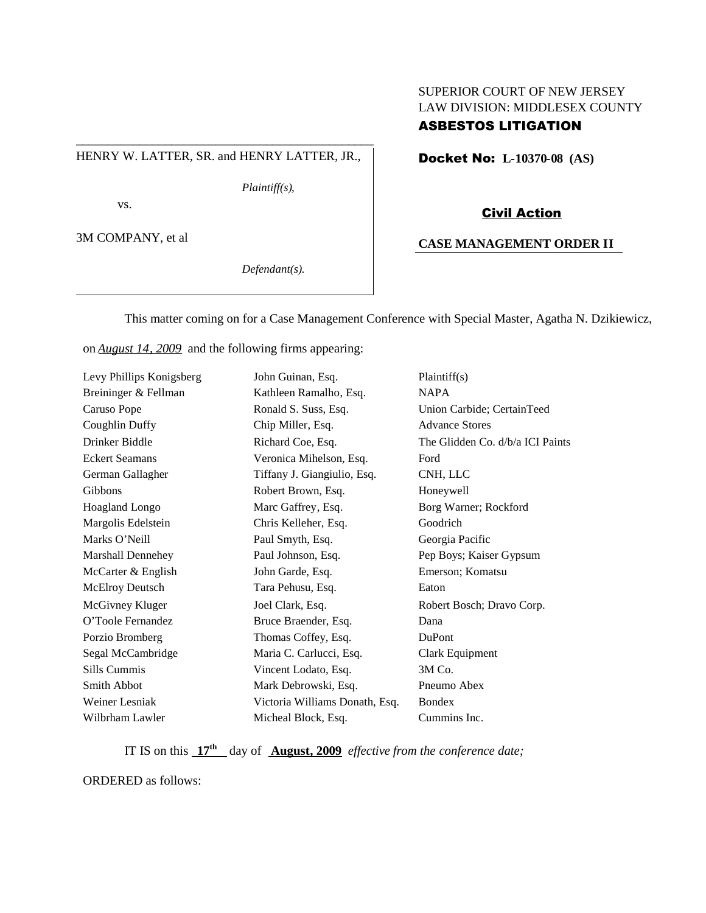## SUPERIOR COURT OF NEW JERSEY LAW DIVISION: MIDDLESEX COUNTY ASBESTOS LITIGATION

#### HENRY W. LATTER, SR. and HENRY LATTER, JR.,

\_\_\_\_\_\_\_\_\_\_\_\_\_\_\_\_\_\_\_\_\_\_\_\_\_\_\_\_\_\_\_\_\_\_\_\_\_\_\_\_\_\_\_\_\_\_\_

*Plaintiff(s),*

vs.

3M COMPANY, et al

*Defendant(s).*

Docket No: **L-10370-08 (AS)**

#### Civil Action

#### **CASE MANAGEMENT ORDER II**

This matter coming on for a Case Management Conference with Special Master, Agatha N. Dzikiewicz,

on *August 14, 2009* and the following firms appearing:

| Levy Phillips Konigsberg | John Guinan, Esq.              | Plaintiff(s)                     |
|--------------------------|--------------------------------|----------------------------------|
| Breininger & Fellman     | Kathleen Ramalho, Esq.         | <b>NAPA</b>                      |
| Caruso Pope              | Ronald S. Suss, Esq.           | Union Carbide; CertainTeed       |
| Coughlin Duffy           | Chip Miller, Esq.              | <b>Advance Stores</b>            |
| Drinker Biddle           | Richard Coe, Esq.              | The Glidden Co. d/b/a ICI Paints |
| <b>Eckert Seamans</b>    | Veronica Mihelson, Esq.        | Ford                             |
| German Gallagher         | Tiffany J. Giangiulio, Esq.    | CNH, LLC                         |
| Gibbons                  | Robert Brown, Esq.             | Honeywell                        |
| Hoagland Longo           | Marc Gaffrey, Esq.             | Borg Warner; Rockford            |
| Margolis Edelstein       | Chris Kelleher, Esq.           | Goodrich                         |
| Marks O'Neill            | Paul Smyth, Esq.               | Georgia Pacific                  |
| Marshall Dennehey        | Paul Johnson, Esq.             | Pep Boys; Kaiser Gypsum          |
| McCarter & English       | John Garde, Esq.               | Emerson; Komatsu                 |
| <b>McElroy Deutsch</b>   | Tara Pehusu, Esq.              | Eaton                            |
| McGivney Kluger          | Joel Clark, Esq.               | Robert Bosch; Dravo Corp.        |
| O'Toole Fernandez        | Bruce Braender, Esq.           | Dana                             |
| Porzio Bromberg          | Thomas Coffey, Esq.            | <b>DuPont</b>                    |
| Segal McCambridge        | Maria C. Carlucci, Esq.        | Clark Equipment                  |
| Sills Cummis             | Vincent Lodato, Esq.           | 3M Co.                           |
| Smith Abbot              | Mark Debrowski, Esq.           | Pneumo Abex                      |
| Weiner Lesniak           | Victoria Williams Donath, Esq. | <b>Bondex</b>                    |
| Wilbrham Lawler          | Micheal Block, Esq.            | Cummins Inc.                     |

IT IS on this **17th** day of **August, 2009** *effective from the conference date;*

ORDERED as follows: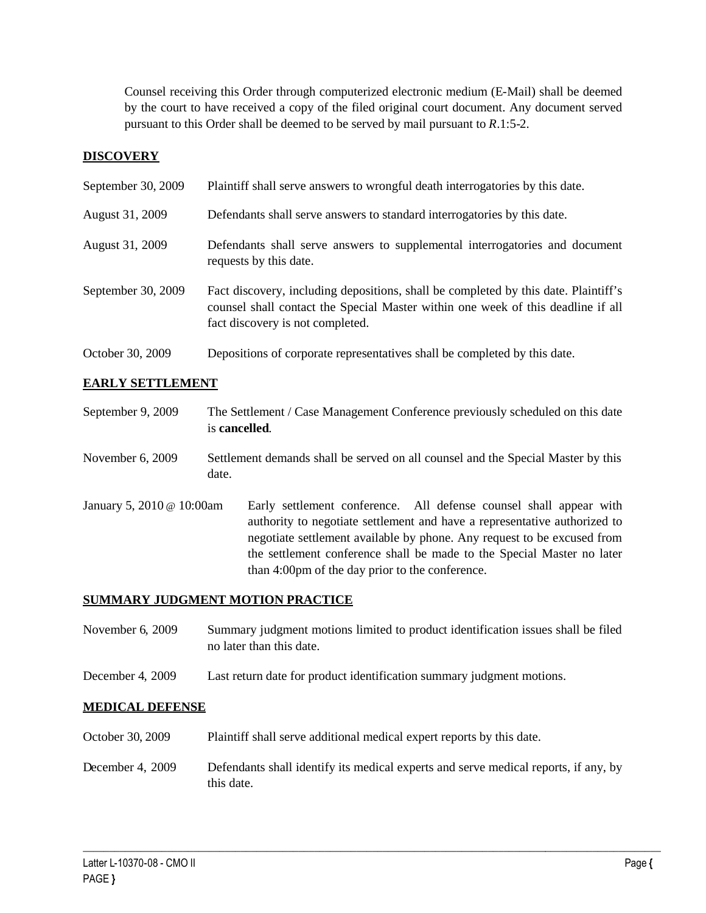Counsel receiving this Order through computerized electronic medium (E-Mail) shall be deemed by the court to have received a copy of the filed original court document. Any document served pursuant to this Order shall be deemed to be served by mail pursuant to *R*.1:5-2.

# **DISCOVERY**

| September 30, 2009 | Plaintiff shall serve answers to wrongful death interrogatories by this date.                                                                                                                               |
|--------------------|-------------------------------------------------------------------------------------------------------------------------------------------------------------------------------------------------------------|
| August 31, 2009    | Defendants shall serve answers to standard interrogatories by this date.                                                                                                                                    |
| August 31, 2009    | Defendants shall serve answers to supplemental interrogatories and document<br>requests by this date.                                                                                                       |
| September 30, 2009 | Fact discovery, including depositions, shall be completed by this date. Plaintiff's<br>counsel shall contact the Special Master within one week of this deadline if all<br>fact discovery is not completed. |
| October 30, 2009   | Depositions of corporate representatives shall be completed by this date.                                                                                                                                   |

# **EARLY SETTLEMENT**

| September 9, 2009         | The Settlement / Case Management Conference previously scheduled on this date<br>is cancelled.                                                                                                                                                                                                                                                          |
|---------------------------|---------------------------------------------------------------------------------------------------------------------------------------------------------------------------------------------------------------------------------------------------------------------------------------------------------------------------------------------------------|
| November 6, 2009          | Settlement demands shall be served on all counsel and the Special Master by this<br>date.                                                                                                                                                                                                                                                               |
| January 5, 2010 @ 10:00am | Early settlement conference. All defense counsel shall appear with<br>authority to negotiate settlement and have a representative authorized to<br>negotiate settlement available by phone. Any request to be excused from<br>the settlement conference shall be made to the Special Master no later<br>than 4:00pm of the day prior to the conference. |

## **SUMMARY JUDGMENT MOTION PRACTICE**

November 6, 2009 Summary judgment motions limited to product identification issues shall be filed no later than this date.

December 4, 2009 Last return date for product identification summary judgment motions.

## **MEDICAL DEFENSE**

- October 30, 2009 Plaintiff shall serve additional medical expert reports by this date.
- December 4, 2009 Defendants shall identify its medical experts and serve medical reports, if any, by this date.

 $\_$  ,  $\_$  ,  $\_$  ,  $\_$  ,  $\_$  ,  $\_$  ,  $\_$  ,  $\_$  ,  $\_$  ,  $\_$  ,  $\_$  ,  $\_$  ,  $\_$  ,  $\_$  ,  $\_$  ,  $\_$  ,  $\_$  ,  $\_$  ,  $\_$  ,  $\_$  ,  $\_$  ,  $\_$  ,  $\_$  ,  $\_$  ,  $\_$  ,  $\_$  ,  $\_$  ,  $\_$  ,  $\_$  ,  $\_$  ,  $\_$  ,  $\_$  ,  $\_$  ,  $\_$  ,  $\_$  ,  $\_$  ,  $\_$  ,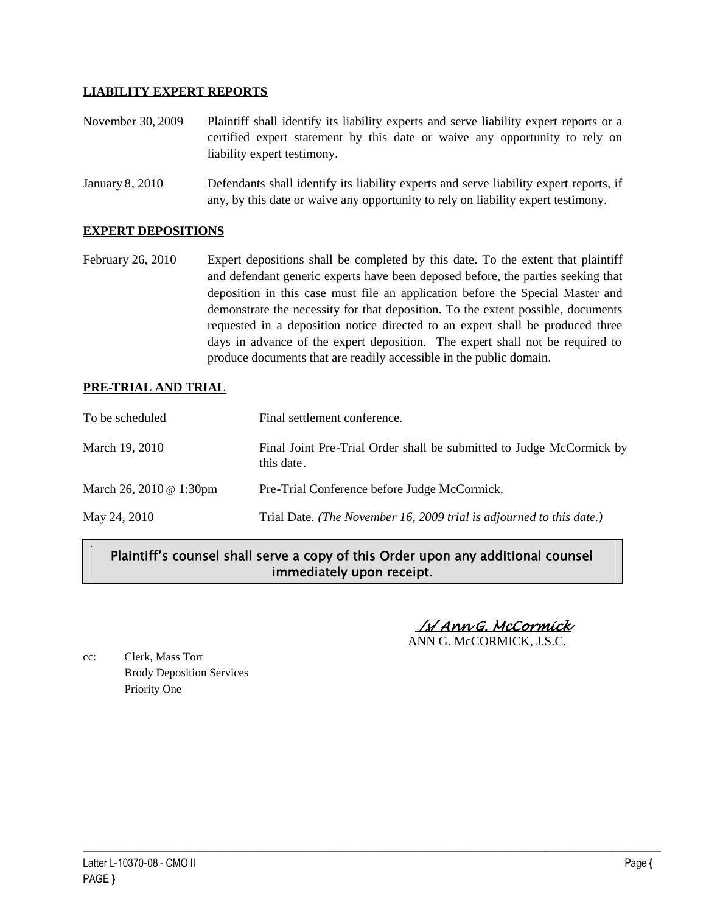## **LIABILITY EXPERT REPORTS**

- November 30, 2009 Plaintiff shall identify its liability experts and serve liability expert reports or a certified expert statement by this date or waive any opportunity to rely on liability expert testimony.
- January 8, 2010 Defendants shall identify its liability experts and serve liability expert reports, if any, by this date or waive any opportunity to rely on liability expert testimony.

#### **EXPERT DEPOSITIONS**

February 26, 2010 Expert depositions shall be completed by this date. To the extent that plaintiff and defendant generic experts have been deposed before, the parties seeking that deposition in this case must file an application before the Special Master and demonstrate the necessity for that deposition. To the extent possible, documents requested in a deposition notice directed to an expert shall be produced three days in advance of the expert deposition. The expert shall not be required to produce documents that are readily accessible in the public domain.

### **PRE-TRIAL AND TRIAL**

.

| To be scheduled         | Final settlement conference.                                                       |
|-------------------------|------------------------------------------------------------------------------------|
| March 19, 2010          | Final Joint Pre-Trial Order shall be submitted to Judge McCormick by<br>this date. |
| March 26, 2010 @ 1:30pm | Pre-Trial Conference before Judge McCormick.                                       |
| May 24, 2010            | Trial Date. (The November 16, 2009 trial is adjourned to this date.)               |

# Plaintiff's counsel shall serve a copy of this Order upon any additional counsel immediately upon receipt.

 $\_$  ,  $\_$  ,  $\_$  ,  $\_$  ,  $\_$  ,  $\_$  ,  $\_$  ,  $\_$  ,  $\_$  ,  $\_$  ,  $\_$  ,  $\_$  ,  $\_$  ,  $\_$  ,  $\_$  ,  $\_$  ,  $\_$  ,  $\_$  ,  $\_$  ,  $\_$  ,  $\_$  ,  $\_$  ,  $\_$  ,  $\_$  ,  $\_$  ,  $\_$  ,  $\_$  ,  $\_$  ,  $\_$  ,  $\_$  ,  $\_$  ,  $\_$  ,  $\_$  ,  $\_$  ,  $\_$  ,  $\_$  ,  $\_$  ,

/s/ Ann G. McCormick ANN G. McCORMICK, J.S.C.

cc: Clerk, Mass Tort Brody Deposition Services Priority One